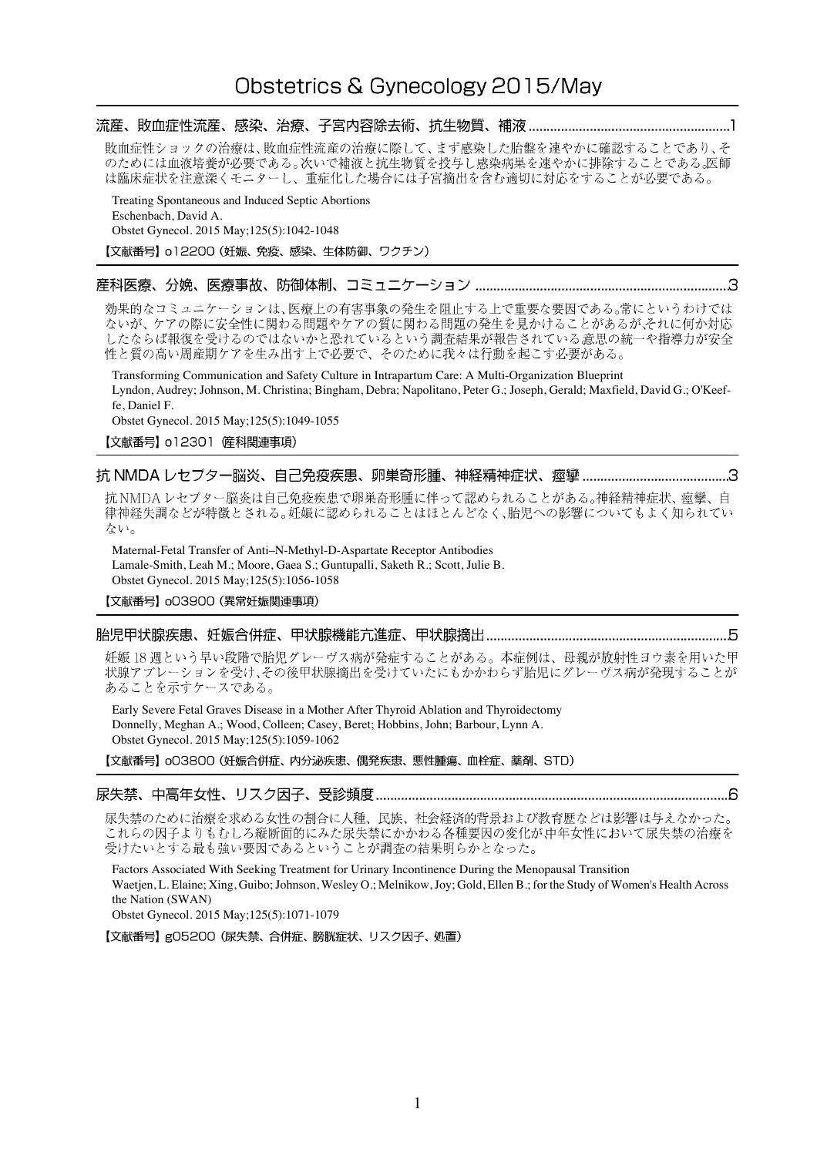敗血症性ショックの治療は、敗血症性流産の治療に際して、まず感染した胎盤を速やかに確認することであり、そ<br>のためには血液培養が必要である。次いで補液と抗生物質を投与し感染病巣を速やかに排除することである。医師 は臨床症状を注意深くモニターし、重症化した場合には子宮摘出を含む適切に対応をすることが必要である。

Treating Spontaneous and Induced Septic Abortions Eschenbach, David A. Obstet Gynecol. 2015 May;125(5):1042-1048

# 【文献番号】 o12200 (妊娠、免疫、感染、生体防御、ワクチン)

# 

効果的なコミュニケーションは、医療上の有害事象の発生を阻止する上で重要な要因である。常にというわけでは ないが、ケアの際に安全性に関わる問題やケアの質に関わる問題の発生を見かけることがあるが、それに何か対応 したならば報復を受けるのではないかと恐れているという調査結果が報告されている意思の統一や指導力が安全 性と質の高い周産期ケアを生み出す上で必要で、そのために我々は行動を起こす必要がある。

Transforming Communication and Safety Culture in Intrapartum Care: A Multi-Organization Blueprint Lyndon, Audrey; Johnson, M. Christina; Bingham, Debra; Napolitano, Peter G.; Joseph, Gerald; Maxfield, David G.; O'Keeffe, Daniel F.

Obstet Gynecol. 2015 May;125(5):1049-1055

【文献番号】 o12301 (産科関連事項)

# 

抗 NMDA レセプター脳炎は自己免疫疾患で卵巣奇形腫に伴って認められることがある。神経精神症状、痙攣、自 律神経失調などが特徴とされる。妊娠に認められることはほとんどなく、胎児への影響についてもよく知られてい ない。

Maternal-Fetal Transfer of Anti–N-Methyl-D-Aspartate Receptor Antibodies Lamale-Smith, Leah M.; Moore, Gaea S.; Guntupalli, Saketh R.; Scott, Julie B. Obstet Gynecol. 2015 May;125(5):1056-1058

【文献番号】 003900 (異常妊娠関連事項)

#### 

妊娠18週という早い段階で胎児グレーヴス病が発症することがある。本症例は、母親が放射性ヨウ素を用いた甲 状腺アブレーションを受け、その後甲状腺摘出を受けていたにもかかわらず胎児にグレーヴス病が発現することが あることを示すケースである。

Early Severe Fetal Graves Disease in a Mother After Thyroid Ablation and Thyroidectomy Donnelly, Meghan A.; Wood, Colleen; Casey, Beret; Hobbins, John; Barbour, Lynn A. Obstet Gynecol. 2015 May;125(5):1059-1062

【文献番号】 oO3800 (妊娠合併症、内分泌疾患、偶発疾患、悪性腫瘍、血栓症、薬剤、STD)

#### 

尿失禁のために治療を求める女性の割合に人種、民族、社会経済的背景および教育歴などは影響は与えなかった。 これらの因子よりもむしろ縦断面的にみた尿失禁にかかわる各種要因の変化が中年女性において尿失禁の治療を 受けたいとする最も強い要因であるということが調査の結果明らかとなった。

Factors Associated With Seeking Treatment for Urinary Incontinence During the Menopausal Transition Waetjen, L. Elaine; Xing, Guibo; Johnson, Wesley O.; Melnikow, Joy; Gold, Ellen B.; for the Study of Women's Health Across the Nation (SWAN)

Obstet Gynecol. 2015 May;125(5):1071-1079

【文献番号】g05200 (尿失禁、合併症、膀胱症状、リスク因子、処置)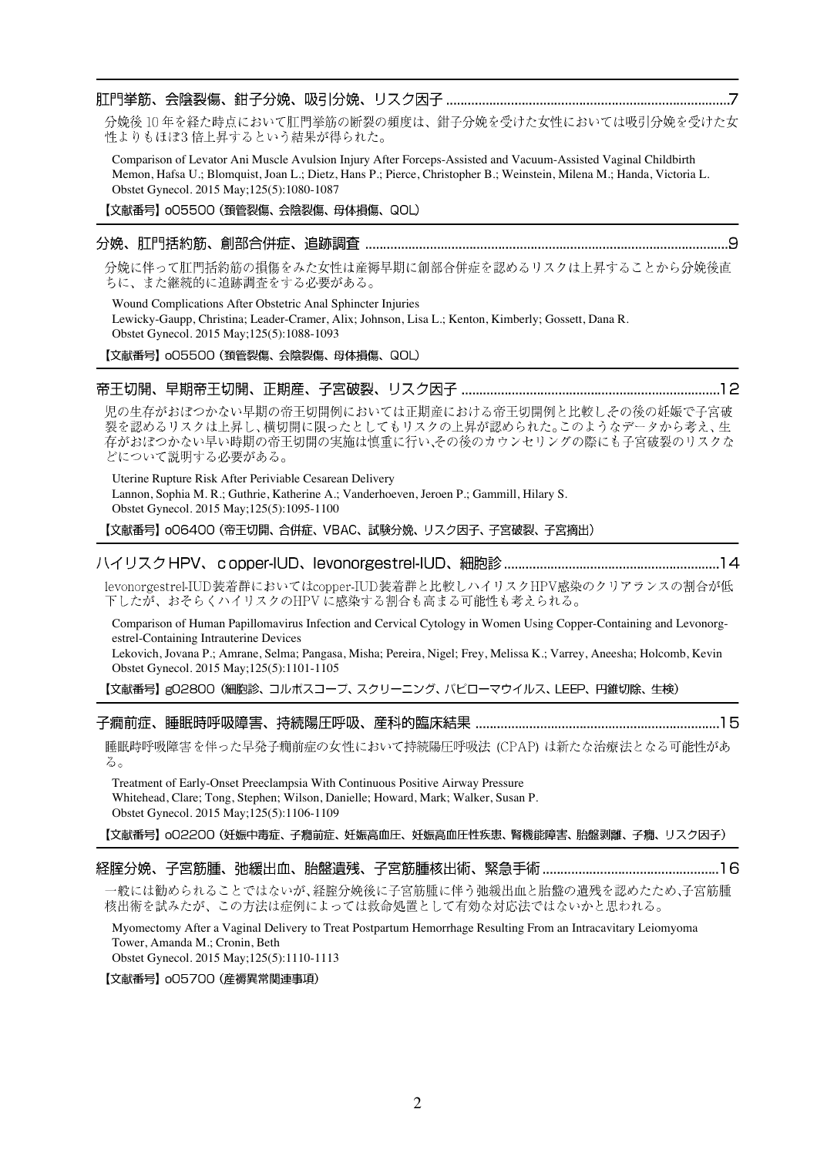分娩後10年を経た時点において肛門挙筋の断裂の頻度は、鉗子分娩を受けた女性においては吸引分娩を受けた女 性よりもほぼ3倍上昇するという結果が得られた。

Comparison of Levator Ani Muscle Avulsion Injury After Forceps-Assisted and Vacuum-Assisted Vaginal Childbirth Memon, Hafsa U.; Blomquist, Joan L.; Dietz, Hans P.; Pierce, Christopher B.; Weinstein, Milena M.; Handa, Victoria L. Obstet Gynecol. 2015 May;125(5):1080-1087

【文献番号】 o05500 (頚管裂傷、会陰裂傷、母体損傷、QOL)

分娩に伴って肛門括約筋の損傷をみた女性は産褥早期に創部合併症を認めるリスクは上昇することから分娩後直 ちに、また継続的に追跡調査をする必要がある。

Wound Complications After Obstetric Anal Sphincter Injuries Lewicky-Gaupp, Christina; Leader-Cramer, Alix; Johnson, Lisa L.; Kenton, Kimberly; Gossett, Dana R. Obstet Gynecol. 2015 May;125(5):1088-1093

【文献番号】 o05500 (頚管裂傷、会陰裂傷、母体損傷、QOL)

#### 

児の生存がおぼつかない早期の帝王切開例においては正期産における帝王切開例と比較しその後の妊娠で子宮破 裂を認めるリスクは上昇し、横切開に限ったとしてもリスクの上昇が認められた。このようなデータから考え、生 存がおぼつかない早い時期の帝王切開の実施は慎重に行い、その後のカウンセリングの際にも子宮破裂のリスクな どについて説明する必要がある。

Uterine Rupture Risk After Periviable Cesarean Delivery Lannon, Sophia M. R.; Guthrie, Katherine A.; Vanderhoeven, Jeroen P.; Gammill, Hilary S. Obstet Gynecol. 2015 May;125(5):1095-1100

【文献番号】 oO6400 (帝王切開、合併症、VBAC、試験分娩、リスク因子、子宮破裂、子宮摘出)

## 

levonorgestrel-IUD装着群においてはcopper-IUD装着群と比較しハイリスクHPV感染のクリアランスの割合が低 下したが、おそらくハイリスクのHPVに感染する割合も高まる可能性も考えられる。

Comparison of Human Papillomavirus Infection and Cervical Cytology in Women Using Copper-Containing and Levonorgestrel-Containing Intrauterine Devices

Lekovich, Jovana P.; Amrane, Selma; Pangasa, Misha; Pereira, Nigel; Frey, Melissa K.; Varrey, Aneesha; Holcomb, Kevin Obstet Gynecol. 2015 May;125(5):1101-1105

【文献番号】g02800 (細胞診、コルポスコープ、スクリーニング、パピローマウイルス、LEEP、円錐切除、生検)

睡眠時呼吸障害を伴った早発子癇前症の女性において持続陽圧呼吸法 (CPAP) は新たな治療法となる可能性があ る。

Treatment of Early-Onset Preeclampsia With Continuous Positive Airway Pressure Whitehead, Clare; Tong, Stephen; Wilson, Danielle; Howard, Mark; Walker, Susan P. Obstet Gynecol. 2015 May;125(5):1106-1109

【文献番号】 o02200 (妊娠中毒症、子癇前症、妊娠高血圧、妊娠高血圧性疾患、腎機能障害、胎盤剥離、子癇、リスク因子)

## 

一般には勧められることではないが、経腟分娩後に子宮筋腫に伴う弛緩出血と胎盤の遺残を認めたため、子宮筋腫 核出術を試みたが、この方法は症例によっては救命処置として有効な対応法ではないかと思われる。

Myomectomy After a Vaginal Delivery to Treat Postpartum Hemorrhage Resulting From an Intracavitary Leiomyoma Tower, Amanda M.; Cronin, Beth Obstet Gynecol. 2015 May;125(5):1110-1113

【文献番号】 005700 (産褥異常関連事項)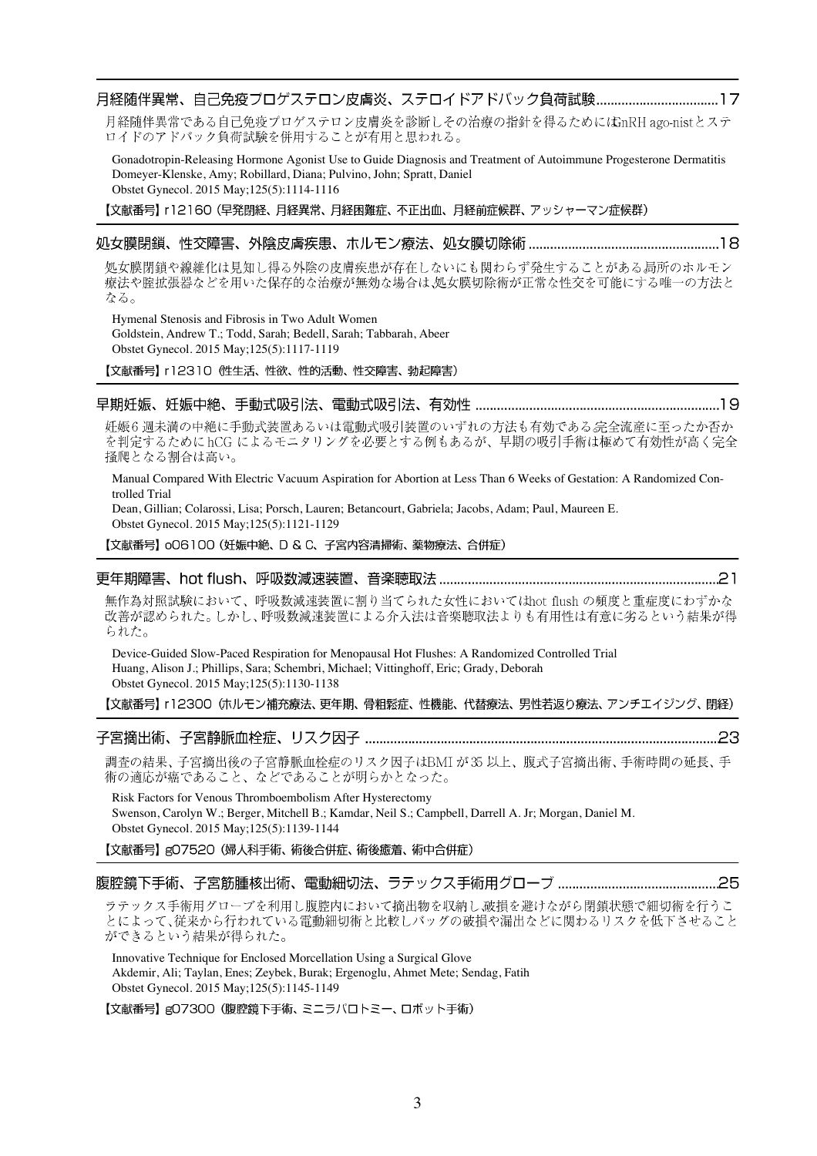月経随伴異常である自己免疫プロゲステロン皮膚炎を診断しその治療の指針を得るためにはGnRH ago-nistとステ ロイドのアドバック負荷試験を併用することが有用と思われる。

Gonadotropin-Releasing Hormone Agonist Use to Guide Diagnosis and Treatment of Autoimmune Progesterone Dermatitis Domeyer-Klenske, Amy; Robillard, Diana; Pulvino, John; Spratt, Daniel Obstet Gynecol. 2015 May;125(5):1114-1116

【文献番号】 r12160 (早発閉経、月経異常、月経困難症、不正出血、月経前症候群、アッシャーマン症候群)

## 

処女膜閉鎖や線維化は見知し得る外陰の皮膚疾患が存在しないにも関わらず発生することがある局所のホルモン 療法や腟拡張器などを用いた保存的な治療が無効な場合は、処女膜切除術が正常な性交を可能にする唯一の方法と なる。

Hymenal Stenosis and Fibrosis in Two Adult Women Goldstein, Andrew T.; Todd, Sarah; Bedell, Sarah; Tabbarah, Abeer Obstet Gynecol. 2015 May;125(5):1117-1119

【文献番号】 r12310 (性生活、性欲、性的活動、性交障害、勃起障害)

#### 

妊娠6週未満の中絶に手動式装置あるいは電動式吸引装置のいずれの方法も有効である宗全流産に至ったか否か を判定するためにhCG によるモニタリングを必要とする例もあるが、早期の吸引手術は極めて有効性が高く完全 掻爬となる割合は高い。

Manual Compared With Electric Vacuum Aspiration for Abortion at Less Than 6 Weeks of Gestation: A Randomized Controlled Trial

Dean, Gillian; Colarossi, Lisa; Porsch, Lauren; Betancourt, Gabriela; Jacobs, Adam; Paul, Maureen E. Obstet Gynecol. 2015 May;125(5):1121-1129

【文献番号】 oO6100 (妊娠中絶、D & C、子宮内容清掃術、薬物療法、合併症)

#### 

無作為対照試験において、呼吸数減速装置に割り当てられた女性においてはhot flushの頻度と重症度にわずかな 改善が認められた。しかし、呼吸数減速装置による介入法は音楽聴取法よりも有用性は有意に劣るという結果が得 られた。

Device-Guided Slow-Paced Respiration for Menopausal Hot Flushes: A Randomized Controlled Trial Huang, Alison J.; Phillips, Sara; Schembri, Michael; Vittinghoff, Eric; Grady, Deborah Obstet Gynecol. 2015 May;125(5):1130-1138

【文献番号】 r12300 (ホルモン補充療法、更年期、骨粗鬆症、性機能、代替療法、男性若返り療法、アンチエイジング、閉経)

調査の結果、子宮摘出後の子宮静脈血栓症のリスク因子はBMI が35以上、腹式子宮摘出術、手術時間の延長、手 術の適応が癌であること、などであることが明らかとなった。

Risk Factors for Venous Thromboembolism After Hysterectomy Swenson, Carolyn W.; Berger, Mitchell B.; Kamdar, Neil S.; Campbell, Darrell A. Jr; Morgan, Daniel M. Obstet Gynecol. 2015 May;125(5):1139-1144

【文献番号】gO7520 (婦人科手術、術後合併症、術後癒着、術中合併症)

#### 

ラテックス手術用グローブを利用し腹腔内において摘出物を収納し、破損を避けながら閉鎖状態で細切術を行うこ とによって、従来から行われている電動細切術と比較しバッグの破損や漏出などに関わるリスクを低下させること ができるという結果が得られた。

Innovative Technique for Enclosed Morcellation Using a Surgical Glove Akdemir, Ali; Taylan, Enes; Zeybek, Burak; Ergenoglu, Ahmet Mete; Sendag, Fatih Obstet Gynecol. 2015 May;125(5):1145-1149

【文献番号】gO7300 (腹腔鏡下手術、ミニラパロトミー、ロボット手術)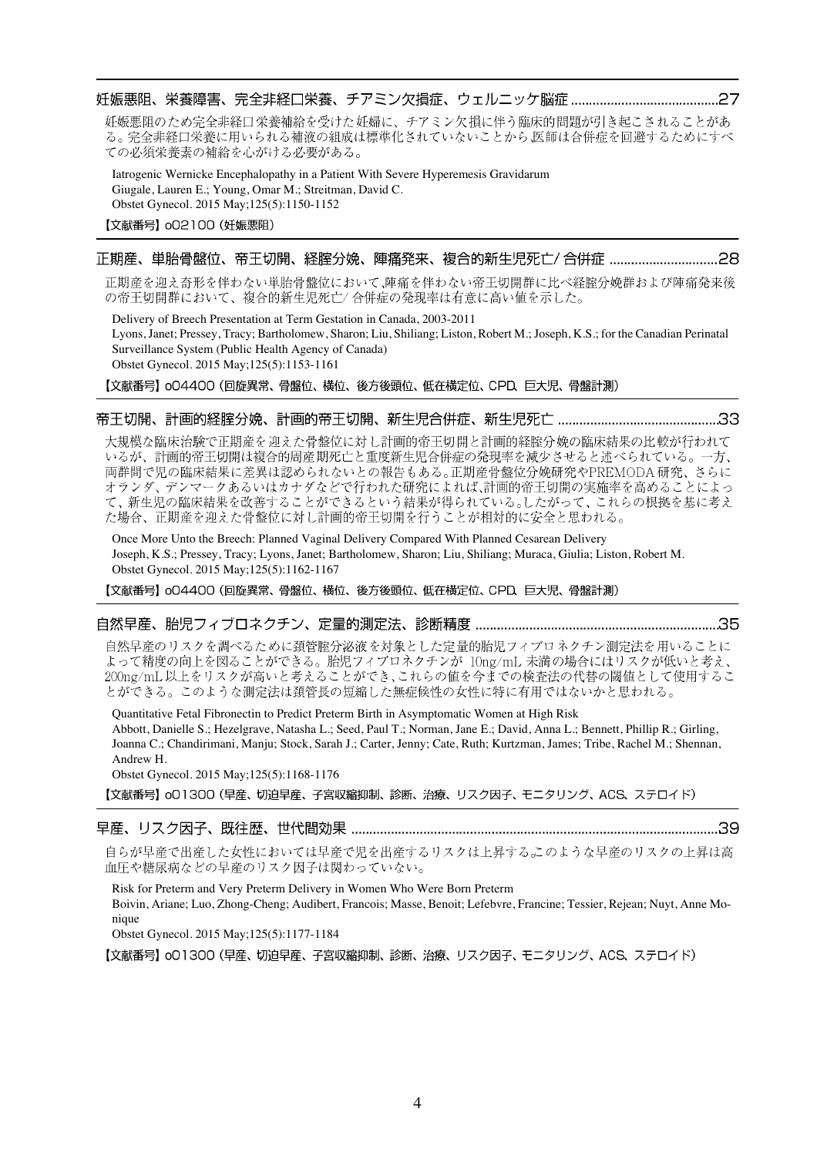妊娠悪阻のため完全非経口栄養補給を受けた妊婦に、チアミン欠損に伴う臨床的問題が引き起こされることがあ る。完全非経口栄養に用いられる補液の組成は標準化されていないことから、医師は合併症を回避するためにすべ ての必須栄養素の補給を心がける必要がある。

Iatrogenic Wernicke Encephalopathy in a Patient With Severe Hyperemesis Gravidarum Giugale, Lauren E.; Young, Omar M.; Streitman, David C. Obstet Gynecol. 2015 May;125(5):1150-1152

#### 【文献番号】 oO2100 (妊娠悪阻)

# 

正期産を迎え奇形を伴わない単胎骨盤位において、陣痛を伴わない帝王切開群に比べ経腟分娩群および陣痛発来後 の帝王切開群において、複合的新生児死亡/合併症の発現率は有意に高い値を示した。

Delivery of Breech Presentation at Term Gestation in Canada, 2003-2011 Lyons, Janet; Pressey, Tracy; Bartholomew, Sharon; Liu, Shiliang; Liston, Robert M.; Joseph, K.S.; for the Canadian Perinatal Surveillance System (Public Health Agency of Canada) Obstet Gynecol. 2015 May;125(5):1153-1161

【文献番号】 oO4400 (回旋異常、骨盤位、横位、後方後頭位、低在横定位、CPD、巨大児、骨盤計測)

## 

大規模な臨床治験で正期産を迎えた骨盤位に対し計画的帝王切開と計画的経腟分娩の臨床結果の比較が行われて いるが、計画的帝王切開は複合的周産期死亡と重度新生児合併症の発現率を減少させると述べられている。一方、 両群間で児の臨床結果に差異は認められないとの報告もある。正期産骨盤位分娩研究やPREMODA研究、さらに オランダ、デンマークあるいはカナダなどで行われた研究によれば、計画的帝王切開の実施率を高めることによっ て、新生児の臨床結果を改善することができるという結果が得られている。したがって、これらの根拠を基に考え た場合、正期産を迎えた骨盤位に対し計画的帝王切開を行うことが相対的に安全と思われる。

Once More Unto the Breech: Planned Vaginal Delivery Compared With Planned Cesarean Delivery Joseph, K.S.; Pressey, Tracy; Lyons, Janet; Bartholomew, Sharon; Liu, Shiliang; Muraca, Giulia; Liston, Robert M. Obstet Gynecol. 2015 May;125(5):1162-1167

【文献番号】 oO4400 (回旋異常、骨盤位、横位、後方後頭位、低在横定位、CPD、巨大児、骨盤計測)

## 

自然早産のリスクを調べるために頚管腟分泌液を対象とした定量的胎児フィブロネクチン測定法を用いることに よって精度の向上を図ることができる。胎児フィブロネクチンが 10ng/mL 未満の場合にはリスクが低いと考え、 200ng/mL以上をリスクが高いと考えることができ、これらの値を今までの検査法の代替の閾値として使用するこ とができる。このような測定法は頚管長の短縮した無症候性の女性に特に有用ではないかと思われる。

Quantitative Fetal Fibronectin to Predict Preterm Birth in Asymptomatic Women at High Risk Abbott, Danielle S.; Hezelgrave, Natasha L.; Seed, Paul T.; Norman, Jane E.; David, Anna L.; Bennett, Phillip R.; Girling, Joanna C.; Chandirimani, Manju; Stock, Sarah J.; Carter, Jenny; Cate, Ruth; Kurtzman, James; Tribe, Rachel M.; Shennan, Andrew H.

Obstet Gynecol. 2015 May;125(5):1168-1176

【文献番号】o01300 (早産、切迫早産、子宮収縮抑制、診断、治療、リスク因子、モニタリング、ACS、ステロイド)

## 

自らが早産で出産した女性においては早産で児を出産するリスクは上昇するこのような早産のリスクの上昇は高 血圧や糖尿病などの早産のリスク因子は関わっていない。

Risk for Preterm and Very Preterm Delivery in Women Who Were Born Preterm Boivin, Ariane; Luo, Zhong-Cheng; Audibert, Francois; Masse, Benoit; Lefebvre, Francine; Tessier, Rejean; Nuyt, Anne Mo-

nique Obstet Gynecol. 2015 May;125(5):1177-1184

【文献番号】o01300 (早産、切迫早産、子宮収縮抑制、診断、治療、リスク因子、モニタリング、ACS、ステロイド)